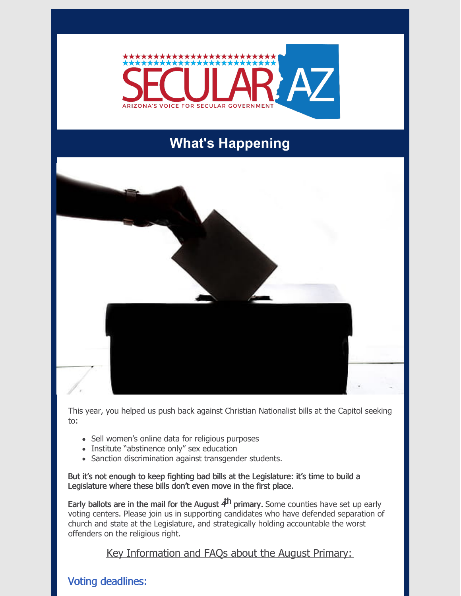

# **What's Happening**



This year, you helped us push back against Christian Nationalist bills at the Capitol seeking to:

- Sell women's online data for religious purposes
- Institute "abstinence only" sex education
- Sanction discrimination against transgender students.

But it's not enough to keep fighting bad bills at the Legislature: it's time to build a Legislature where these bills don't even move in the first place.

Early ballots are in the mail for the August  $4<sup>h</sup>$  primary. Some counties have set up early voting centers. Please join us in supporting candidates who have defended separation of church and state at the Legislature, and strategically holding accountable the worst offenders on the religious right.

Key Information and FAQs about the August Primary:

# Voting deadlines: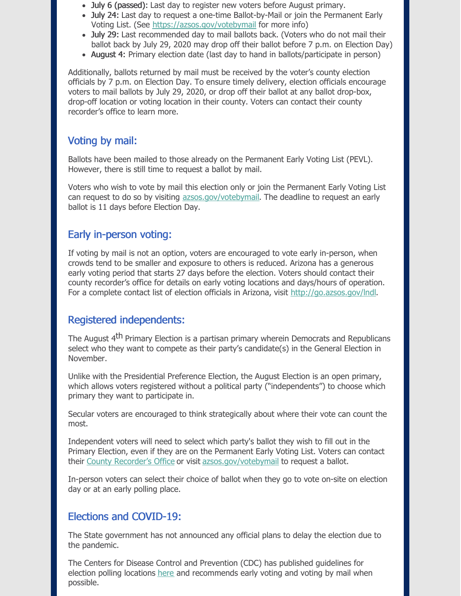- July 6 (passed): Last day to register new voters before August primary.
- July 24: Last day to request a one-time Ballot-by-Mail or join the Permanent Early Voting List. (See <https://azsos.gov/votebymail> for more info)
- July 29: Last recommended day to mail ballots back. (Voters who do not mail their ballot back by July 29, 2020 may drop off their ballot before 7 p.m. on Election Day)
- August 4: Primary election date (last day to hand in ballots/participate in person)

Additionally, ballots returned by mail must be received by the voter's county election officials by 7 p.m. on Election Day. To ensure timely delivery, election officials encourage voters to mail ballots by July 29, 2020, or drop off their ballot at any ballot drop-box, drop-off location or voting location in their county. Voters can contact their county recorder's office to learn more.

## Voting by mail:

Ballots have been mailed to those already on the Permanent Early Voting List (PEVL). However, there is still time to request a ballot by mail.

Voters who wish to vote by mail this election only or join the Permanent Early Voting List can request to do so by visiting [azsos.gov/votebymail](http://www.azsos.gov/votebymail). The deadline to request an early ballot is 11 days before Election Day.

#### Early in-person voting:

If voting by mail is not an option, voters are encouraged to vote early in-person, when crowds tend to be smaller and exposure to others is reduced. Arizona has a generous early voting period that starts 27 days before the election. Voters should contact their county recorder's office for details on early voting locations and days/hours of operation. For a complete contact list of election officials in Arizona, visit <http://go.azsos.gov/lndl>.

## Registered independents:

The August 4<sup>th</sup> Primary Election is a partisan primary wherein Democrats and Republicans select who they want to compete as their party's candidate(s) in the General Election in November.

Unlike with the Presidential Preference Election, the August Election is an open primary, which allows voters registered without a political party ("independents") to choose which primary they want to participate in.

Secular voters are encouraged to think strategically about where their vote can count the most.

Independent voters will need to select which party's ballot they wish to fill out in the Primary Election, even if they are on the Permanent Early Voting List. Voters can contact their County [Recorder's](https://azsos.gov/county-election-info) Office or visit [azsos.gov/votebymail](http://www.azsos.gov/votebymail) to request a ballot.

In-person voters can select their choice of ballot when they go to vote on-site on election day or at an early polling place.

### Elections and COVID-19:

The State government has not announced any official plans to delay the election due to the pandemic.

The Centers for Disease Control and Prevention (CDC) has published guidelines for election polling locations [here](https://www.cdc.gov/coronavirus/2019-ncov/community/election-polling-locations.html) and recommends early voting and voting by mail when possible.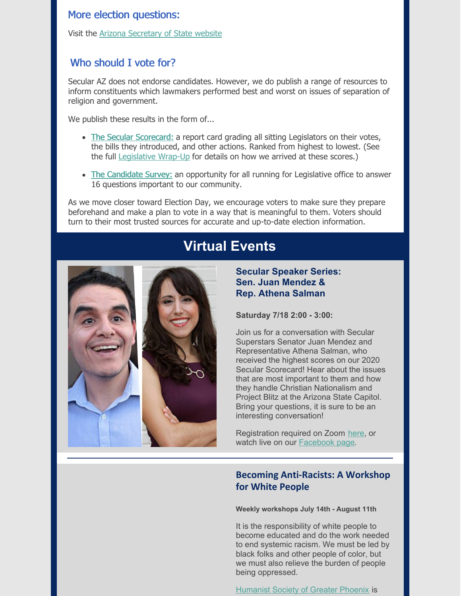#### More election questions:

Visit the Arizona [Secretary](https://azsos.gov/elections/voting-election) of State website

## Who should I vote for?

Secular AZ does not endorse candidates. However, we do publish a range of resources to inform constituents which lawmakers performed best and worst on issues of separation of religion and government.

We publish these results in the form of...

- The Secular [Scorecard:](https://secularaz.org/wp-content/uploads/2020/07/Full-2020-scorecard.pdf) a report card grading all sitting Legislators on their votes, the bills they introduced, and other actions. Ranked from highest to lowest. (See the full [Legislative](https://secularaz.org/wp-content/uploads/2020/07/Secular-wrap-up-2020-formatted-DRAFT-4-1.pdf) Wrap-Up for details on how we arrived at these scores.)
- The [Candidate](https://secularaz.org/candidatesurvey/) Survey: an opportunity for all running for Legislative office to answer 16 questions important to our community.

As we move closer toward Election Day, we encourage voters to make sure they prepare beforehand and make a plan to vote in a way that is meaningful to them. Voters should turn to their most trusted sources for accurate and up-to-date election information.

# **Virtual Events**



#### **Secular Speaker Series: Sen. Juan Mendez & Rep. Athena Salman**

**Saturday 7/18 2:00 - 3:00:**

Join us for a conversation with Secular Superstars Senator Juan Mendez and Representative Athena Salman, who received the highest scores on our 2020 Secular Scorecard! Hear about the issues that are most important to them and how they handle Christian Nationalism and Project Blitz at the Arizona State Capitol. Bring your questions, it is sure to be an interesting conversation!

Registration required on Zoom [here](https://us02web.zoom.us/webinar/register/WN_f8kueM4cRRSOBTfP1wXwng?fbclid=IwAR0x7f-_G_YPKgtg03_DHgbfBl_aPrhFENMjD4Tao5svgh1fQm-KH00TKfg), or watch live on our [Facebook](https://www.facebook.com/secularaz) page.

#### **Becoming Anti-Racists: A Workshop for White People**

**Weekly workshops July 14th - August 11th**

It is the responsibility of white people to become educated and do the work needed to end systemic racism. We must be led by black folks and other people of color, but we must also relieve the burden of people being oppressed.

[Humanist](https://hsgp.org/) Society of Greater Phoenix is